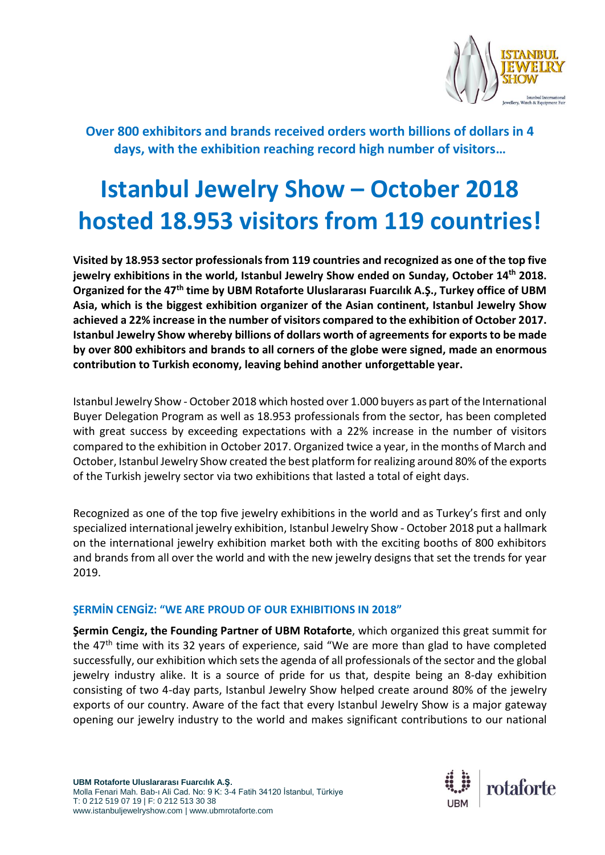

**Over 800 exhibitors and brands received orders worth billions of dollars in 4 days, with the exhibition reaching record high number of visitors…**

# **Istanbul Jewelry Show – October 2018 hosted 18.953 visitors from 119 countries!**

**Visited by 18.953 sector professionals from 119 countries and recognized as one of the top five jewelry exhibitions in the world, Istanbul Jewelry Show ended on Sunday, October 14th 2018. Organized for the 47th time by UBM Rotaforte Uluslararası Fuarcılık A.Ş., Turkey office of UBM Asia, which is the biggest exhibition organizer of the Asian continent, Istanbul Jewelry Show achieved a 22% increase in the number of visitors compared to the exhibition of October 2017. Istanbul Jewelry Show whereby billions of dollars worth of agreements for exportsto be made by over 800 exhibitors and brands to all corners of the globe were signed, made an enormous contribution to Turkish economy, leaving behind another unforgettable year.**

Istanbul Jewelry Show - October 2018 which hosted over 1.000 buyers as part of the International Buyer Delegation Program as well as 18.953 professionals from the sector, has been completed with great success by exceeding expectations with a 22% increase in the number of visitors compared to the exhibition in October 2017. Organized twice a year, in the months of March and October, Istanbul Jewelry Show created the best platform for realizing around 80% of the exports of the Turkish jewelry sector via two exhibitions that lasted a total of eight days.

Recognized as one of the top five jewelry exhibitions in the world and as Turkey's first and only specialized international jewelry exhibition, Istanbul Jewelry Show - October 2018 put a hallmark on the international jewelry exhibition market both with the exciting booths of 800 exhibitors and brands from all over the world and with the new jewelry designs that set the trends for year 2019.

#### **ŞERMİN CENGİZ: "WE ARE PROUD OF OUR EXHIBITIONS IN 2018"**

**Şermin Cengiz, the Founding Partner of UBM Rotaforte**, which organized this great summit for the  $47<sup>th</sup>$  time with its 32 years of experience, said "We are more than glad to have completed successfully, our exhibition which sets the agenda of all professionals of the sector and the global jewelry industry alike. It is a source of pride for us that, despite being an 8-day exhibition consisting of two 4-day parts, Istanbul Jewelry Show helped create around 80% of the jewelry exports of our country. Aware of the fact that every Istanbul Jewelry Show is a major gateway opening our jewelry industry to the world and makes significant contributions to our national

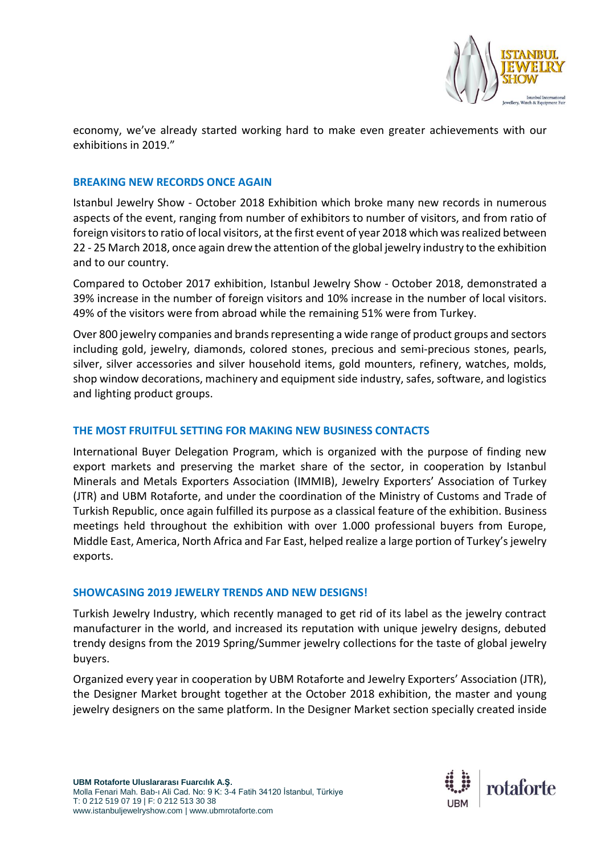

economy, we've already started working hard to make even greater achievements with our exhibitions in 2019."

#### **BREAKING NEW RECORDS ONCE AGAIN**

Istanbul Jewelry Show - October 2018 Exhibition which broke many new records in numerous aspects of the event, ranging from number of exhibitors to number of visitors, and from ratio of foreign visitors to ratio of local visitors, at the first event of year 2018 which was realized between 22 - 25 March 2018, once again drew the attention of the global jewelry industry to the exhibition and to our country.

Compared to October 2017 exhibition, Istanbul Jewelry Show - October 2018, demonstrated a 39% increase in the number of foreign visitors and 10% increase in the number of local visitors. 49% of the visitors were from abroad while the remaining 51% were from Turkey.

Over 800 jewelry companies and brands representing a wide range of product groups and sectors including gold, jewelry, diamonds, colored stones, precious and semi-precious stones, pearls, silver, silver accessories and silver household items, gold mounters, refinery, watches, molds, shop window decorations, machinery and equipment side industry, safes, software, and logistics and lighting product groups.

#### **THE MOST FRUITFUL SETTING FOR MAKING NEW BUSINESS CONTACTS**

International Buyer Delegation Program, which is organized with the purpose of finding new export markets and preserving the market share of the sector, in cooperation by Istanbul Minerals and Metals Exporters Association (IMMIB), Jewelry Exporters' Association of Turkey (JTR) and UBM Rotaforte, and under the coordination of the Ministry of Customs and Trade of Turkish Republic, once again fulfilled its purpose as a classical feature of the exhibition. Business meetings held throughout the exhibition with over 1.000 professional buyers from Europe, Middle East, America, North Africa and Far East, helped realize a large portion of Turkey's jewelry exports.

#### **SHOWCASING 2019 JEWELRY TRENDS AND NEW DESIGNS!**

Turkish Jewelry Industry, which recently managed to get rid of its label as the jewelry contract manufacturer in the world, and increased its reputation with unique jewelry designs, debuted trendy designs from the 2019 Spring/Summer jewelry collections for the taste of global jewelry buyers.

Organized every year in cooperation by UBM Rotaforte and Jewelry Exporters' Association (JTR), the Designer Market brought together at the October 2018 exhibition, the master and young jewelry designers on the same platform. In the Designer Market section specially created inside

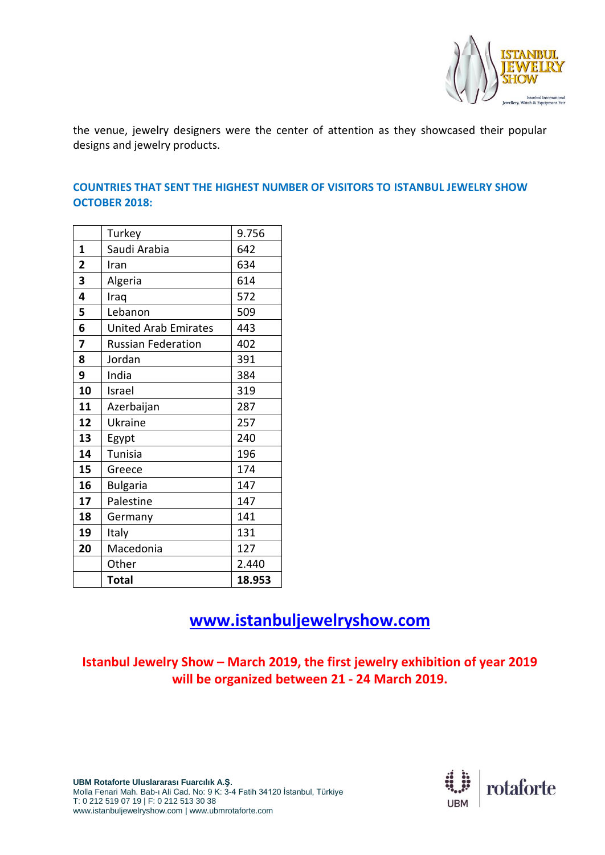

the venue, jewelry designers were the center of attention as they showcased their popular designs and jewelry products.

#### **COUNTRIES THAT SENT THE HIGHEST NUMBER OF VISITORS TO ISTANBUL JEWELRY SHOW OCTOBER 2018:**

|                | Turkey                      | 9.756  |
|----------------|-----------------------------|--------|
| 1              | Saudi Arabia                | 642    |
| $\overline{2}$ | Iran                        | 634    |
| 3              | Algeria                     | 614    |
| 4              | Iraq                        | 572    |
| 5              | Lebanon                     | 509    |
| 6              | <b>United Arab Emirates</b> | 443    |
| 7              | <b>Russian Federation</b>   | 402    |
| 8              | Jordan                      | 391    |
| 9              | India                       | 384    |
| 10             | Israel                      | 319    |
| 11             | Azerbaijan                  | 287    |
| 12             | Ukraine                     | 257    |
| 13             | Egypt                       | 240    |
| 14             | <b>Tunisia</b>              | 196    |
| 15             | Greece                      | 174    |
| 16             | <b>Bulgaria</b>             | 147    |
| 17             | Palestine                   | 147    |
| 18             | Germany                     | 141    |
| 19             | Italy                       | 131    |
| 20             | Macedonia                   | 127    |
|                | Other                       | 2.440  |
|                | <b>Total</b>                | 18.953 |

## **[www.istanbuljewelryshow.com](http://www.istanbuljewelryshow.com/)**

### **Istanbul Jewelry Show – March 2019, the first jewelry exhibition of year 2019 will be organized between 21 - 24 March 2019.**